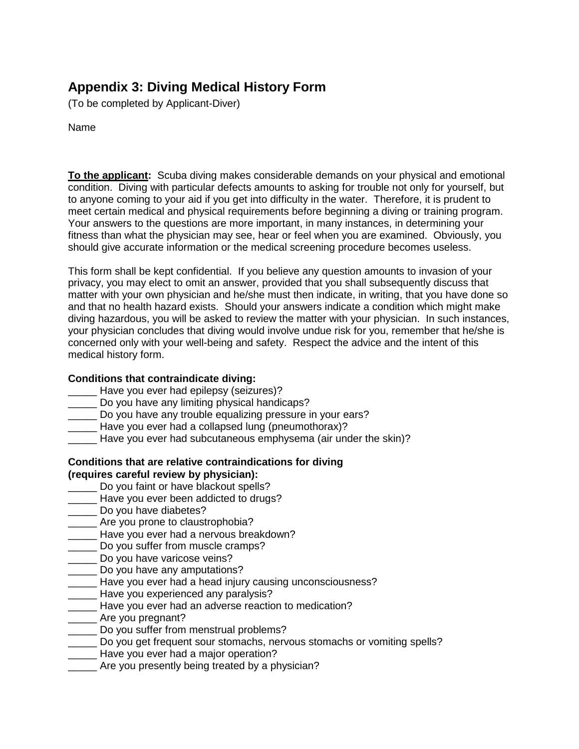# **Appendix 3: Diving Medical History Form**

(To be completed by Applicant-Diver)

Name

**To the applicant:** Scuba diving makes considerable demands on your physical and emotional condition. Diving with particular defects amounts to asking for trouble not only for yourself, but to anyone coming to your aid if you get into difficulty in the water. Therefore, it is prudent to meet certain medical and physical requirements before beginning a diving or training program. Your answers to the questions are more important, in many instances, in determining your fitness than what the physician may see, hear or feel when you are examined. Obviously, you should give accurate information or the medical screening procedure becomes useless.

This form shall be kept confidential. If you believe any question amounts to invasion of your privacy, you may elect to omit an answer, provided that you shall subsequently discuss that matter with your own physician and he/she must then indicate, in writing, that you have done so and that no health hazard exists. Should your answers indicate a condition which might make diving hazardous, you will be asked to review the matter with your physician. In such instances, your physician concludes that diving would involve undue risk for you, remember that he/she is concerned only with your well-being and safety. Respect the advice and the intent of this medical history form.

## **Conditions that contraindicate diving:**

- Have you ever had epilepsy (seizures)?
- Do you have any limiting physical handicaps?
- \_\_\_\_\_ Do you have any trouble equalizing pressure in your ears?
- \_\_\_\_\_ Have you ever had a collapsed lung (pneumothorax)?
- Have you ever had subcutaneous emphysema (air under the skin)?

#### **Conditions that are relative contraindications for diving (requires careful review by physician):**

- **Do you faint or have blackout spells?**
- \_\_\_\_\_ Have you ever been addicted to drugs?
- \_\_\_\_\_ Do you have diabetes?
- Are you prone to claustrophobia?
- \_\_\_\_\_ Have you ever had a nervous breakdown?
- Do you suffer from muscle cramps?
- **Latter** Do you have varicose veins?
- **LETT** Do you have any amputations?
- \_\_\_\_\_ Have you ever had a head injury causing unconsciousness?
- \_\_\_\_ Have you experienced any paralysis?
- Have you ever had an adverse reaction to medication?
- \_\_\_\_\_ Are you pregnant?
- Do you suffer from menstrual problems?
- Do you get frequent sour stomachs, nervous stomachs or vomiting spells?
- **\_\_\_\_\_** Have you ever had a major operation?
- Are you presently being treated by a physician?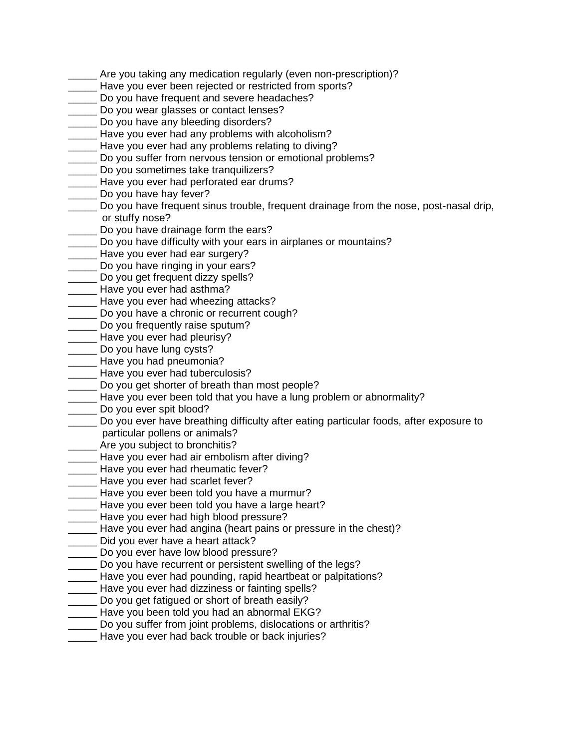- Are you taking any medication regularly (even non-prescription)?
- \_\_\_\_\_ Have you ever been rejected or restricted from sports?
- Do you have frequent and severe headaches?
- **Do you wear glasses or contact lenses?**
- \_\_\_\_\_ Do you have any bleeding disorders?
- Have you ever had any problems with alcoholism?
- \_\_\_\_\_ Have you ever had any problems relating to diving?
- \_\_\_\_\_ Do you suffer from nervous tension or emotional problems?
- **Do you sometimes take tranquilizers?**
- \_\_\_\_\_ Have you ever had perforated ear drums?
- Do you have hay fever?
- \_\_\_\_\_ Do you have frequent sinus trouble, frequent drainage from the nose, post-nasal drip, or stuffy nose?
- **Do you have drainage form the ears?**
- \_\_\_\_\_ Do you have difficulty with your ears in airplanes or mountains?
- \_\_\_\_ Have you ever had ear surgery?
- \_\_\_\_\_ Do you have ringing in your ears?
- Do you get frequent dizzy spells?
- \_\_\_\_\_ Have you ever had asthma?
- **EXECO** Have you ever had wheezing attacks?
- Do you have a chronic or recurrent cough?
- Do you frequently raise sputum?
- \_\_\_\_ Have you ever had pleurisy?
- Do you have lung cysts?
- **Letter** Have you had pneumonia?
- **\_\_\_\_\_** Have you ever had tuberculosis?
- Do you get shorter of breath than most people?
- Have you ever been told that you have a lung problem or abnormality?
- \_\_\_\_\_ Do you ever spit blood?
- \_\_\_\_\_ Do you ever have breathing difficulty after eating particular foods, after exposure to particular pollens or animals?
- **Example 20** Are you subject to bronchitis?
- \_\_\_\_\_ Have you ever had air embolism after diving?
- \_\_\_\_ Have you ever had rheumatic fever?
- \_\_\_\_\_ Have you ever had scarlet fever?
- \_\_\_\_\_ Have you ever been told you have a murmur?
- Have you ever been told you have a large heart?
- \_\_\_\_\_ Have you ever had high blood pressure?
- \_\_\_\_\_ Have you ever had angina (heart pains or pressure in the chest)?
- \_\_\_\_\_ Did you ever have a heart attack?
- Do you ever have low blood pressure?
- Do you have recurrent or persistent swelling of the legs?
- Have you ever had pounding, rapid heartbeat or palpitations?
- \_\_\_\_\_ Have you ever had dizziness or fainting spells?
- **LECT** Do you get fatigued or short of breath easily?
- Have you been told you had an abnormal EKG?
- Do you suffer from joint problems, dislocations or arthritis?
- \_\_\_\_\_ Have you ever had back trouble or back injuries?